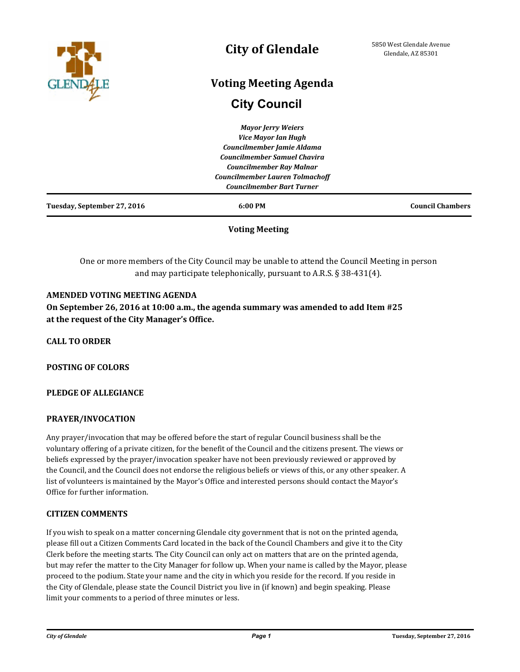

## **City of Glendale**

# **Voting Meeting Agenda**

## **City Council**

| 6:00 PM                                | <b>Council Chambers</b>    |
|----------------------------------------|----------------------------|
| <b>Councilmember Bart Turner</b>       |                            |
| <b>Councilmember Lauren Tolmachoff</b> |                            |
| <b>Councilmember Ray Malnar</b>        |                            |
| <b>Councilmember Samuel Chavira</b>    |                            |
| Councilmember Jamie Aldama             |                            |
|                                        |                            |
| <b>Mayor Jerry Weiers</b>              |                            |
|                                        | <b>Vice Mayor Ian Hugh</b> |

## **Voting Meeting**

One or more members of the City Council may be unable to attend the Council Meeting in person and may participate telephonically, pursuant to A.R.S. § 38-431(4).

### **AMENDED VOTING MEETING AGENDA**

**On September 26, 2016 at 10:00 a.m., the agenda summary was amended to add Item #25 at the request of the City Manager's Office.**

**CALL TO ORDER**

**POSTING OF COLORS**

#### **PLEDGE OF ALLEGIANCE**

#### **PRAYER/INVOCATION**

Any prayer/invocation that may be offered before the start of regular Council business shall be the voluntary offering of a private citizen, for the benefit of the Council and the citizens present. The views or beliefs expressed by the prayer/invocation speaker have not been previously reviewed or approved by the Council, and the Council does not endorse the religious beliefs or views of this, or any other speaker. A list of volunteers is maintained by the Mayor's Office and interested persons should contact the Mayor's Office for further information.

#### **CITIZEN COMMENTS**

If you wish to speak on a matter concerning Glendale city government that is not on the printed agenda, please fill out a Citizen Comments Card located in the back of the Council Chambers and give it to the City Clerk before the meeting starts. The City Council can only act on matters that are on the printed agenda, but may refer the matter to the City Manager for follow up. When your name is called by the Mayor, please proceed to the podium. State your name and the city in which you reside for the record. If you reside in the City of Glendale, please state the Council District you live in (if known) and begin speaking. Please limit your comments to a period of three minutes or less.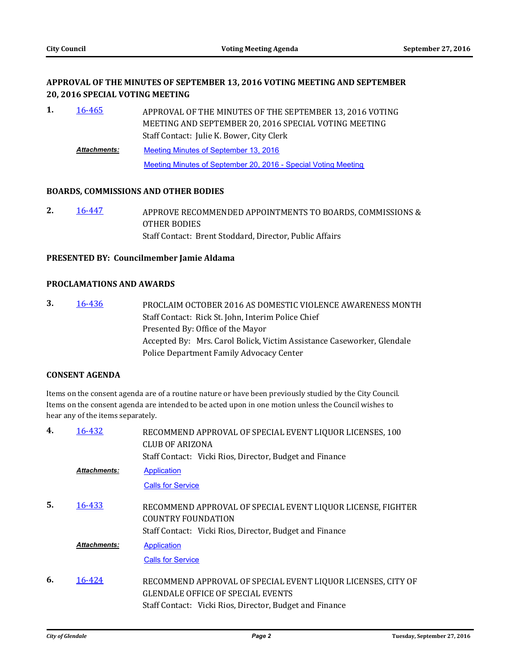## **APPROVAL OF THE MINUTES OF SEPTEMBER 13, 2016 VOTING MEETING AND SEPTEMBER 20, 2016 SPECIAL VOTING MEETING**

APPROVAL OF THE MINUTES OF THE SEPTEMBER 13, 2016 VOTING MEETING AND SEPTEMBER 20, 2016 SPECIAL VOTING MEETING Staff Contact: Julie K. Bower, City Clerk **1.** [16-465](http://glendale-az.legistar.com/gateway.aspx?m=l&id=/matter.aspx?key=3249) [Meeting Minutes of September 13, 2016](http://glendale-az.legistar.com/gateway.aspx?M=F&ID=5eebca0f-62ad-481f-a926-0b95130f36fe.pdf) [Meeting Minutes of September 20, 2016 - Special Voting Meeting](http://glendale-az.legistar.com/gateway.aspx?M=F&ID=f9928f40-1548-4ab5-b90b-7d66fbc43de3.pdf) *Attachments:*

#### **BOARDS, COMMISSIONS AND OTHER BODIES**

APPROVE RECOMMENDED APPOINTMENTS TO BOARDS, COMMISSIONS & OTHER BODIES Staff Contact: Brent Stoddard, Director, Public Affairs **2.** [16-447](http://glendale-az.legistar.com/gateway.aspx?m=l&id=/matter.aspx?key=3231)

#### **PRESENTED BY: Councilmember Jamie Aldama**

#### **PROCLAMATIONS AND AWARDS**

PROCLAIM OCTOBER 2016 AS DOMESTIC VIOLENCE AWARENESS MONTH Staff Contact: Rick St. John, Interim Police Chief Presented By: Office of the Mayor Accepted By: Mrs. Carol Bolick, Victim Assistance Caseworker, Glendale Police Department Family Advocacy Center **3.** [16-436](http://glendale-az.legistar.com/gateway.aspx?m=l&id=/matter.aspx?key=3220)

#### **CONSENT AGENDA**

Items on the consent agenda are of a routine nature or have been previously studied by the City Council. Items on the consent agenda are intended to be acted upon in one motion unless the Council wishes to hear any of the items separately.

| 4. | 16-432              | RECOMMEND APPROVAL OF SPECIAL EVENT LIQUOR LICENSES, 100<br>CLUB OF ARIZONA<br>Staff Contact: Vicki Rios, Director, Budget and Finance |
|----|---------------------|----------------------------------------------------------------------------------------------------------------------------------------|
|    | <b>Attachments:</b> | Application                                                                                                                            |
|    |                     | <b>Calls for Service</b>                                                                                                               |
| 5. | 16-433              | RECOMMEND APPROVAL OF SPECIAL EVENT LIQUOR LICENSE, FIGHTER<br><b>COUNTRY FOUNDATION</b>                                               |
|    |                     | Staff Contact: Vicki Rios, Director, Budget and Finance                                                                                |
|    | <b>Attachments:</b> | Application                                                                                                                            |
|    |                     | <b>Calls for Service</b>                                                                                                               |
| 6. | 16-424              | RECOMMEND APPROVAL OF SPECIAL EVENT LIQUOR LICENSES, CITY OF                                                                           |
|    |                     | <b>GLENDALE OFFICE OF SPECIAL EVENTS</b>                                                                                               |
|    |                     | Staff Contact: Vicki Rios, Director, Budget and Finance                                                                                |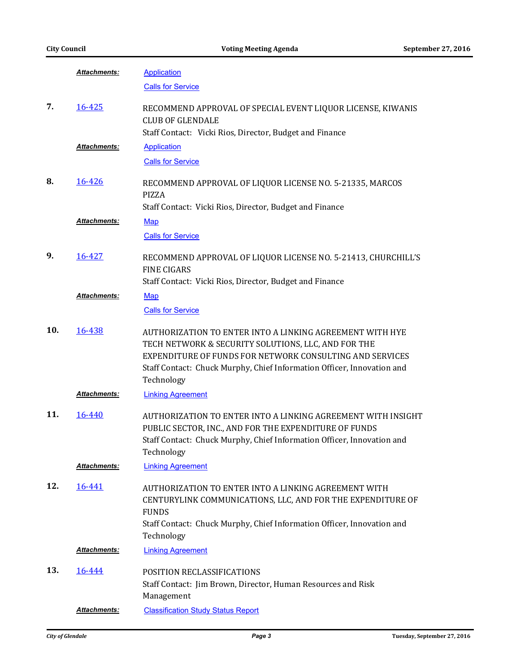|     | Attachments:        | <b>Application</b>                                                                                                                                                                                                                                                  |
|-----|---------------------|---------------------------------------------------------------------------------------------------------------------------------------------------------------------------------------------------------------------------------------------------------------------|
|     |                     | <b>Calls for Service</b>                                                                                                                                                                                                                                            |
| 7.  | 16-425              | RECOMMEND APPROVAL OF SPECIAL EVENT LIQUOR LICENSE, KIWANIS<br><b>CLUB OF GLENDALE</b>                                                                                                                                                                              |
|     |                     | Staff Contact: Vicki Rios, Director, Budget and Finance                                                                                                                                                                                                             |
|     | Attachments:        | <b>Application</b>                                                                                                                                                                                                                                                  |
|     |                     | <b>Calls for Service</b>                                                                                                                                                                                                                                            |
| 8.  | 16-426              | RECOMMEND APPROVAL OF LIQUOR LICENSE NO. 5-21335, MARCOS<br>PIZZA                                                                                                                                                                                                   |
|     |                     | Staff Contact: Vicki Rios, Director, Budget and Finance                                                                                                                                                                                                             |
|     | Attachments:        | <b>Map</b>                                                                                                                                                                                                                                                          |
|     |                     | <b>Calls for Service</b>                                                                                                                                                                                                                                            |
| 9.  | 16-427              | RECOMMEND APPROVAL OF LIQUOR LICENSE NO. 5-21413, CHURCHILL'S<br><b>FINE CIGARS</b>                                                                                                                                                                                 |
|     |                     | Staff Contact: Vicki Rios, Director, Budget and Finance                                                                                                                                                                                                             |
|     | <b>Attachments:</b> | <b>Map</b>                                                                                                                                                                                                                                                          |
|     |                     | <b>Calls for Service</b>                                                                                                                                                                                                                                            |
| 10. | 16-438              | AUTHORIZATION TO ENTER INTO A LINKING AGREEMENT WITH HYE<br>TECH NETWORK & SECURITY SOLUTIONS, LLC, AND FOR THE<br>EXPENDITURE OF FUNDS FOR NETWORK CONSULTING AND SERVICES<br>Staff Contact: Chuck Murphy, Chief Information Officer, Innovation and<br>Technology |
|     | Attachments:        | <b>Linking Agreement</b>                                                                                                                                                                                                                                            |
| 11. | 16-440              | AUTHORIZATION TO ENTER INTO A LINKING AGREEMENT WITH INSIGHT<br>PUBLIC SECTOR, INC., AND FOR THE EXPENDITURE OF FUNDS<br>Staff Contact: Chuck Murphy, Chief Information Officer, Innovation and<br>Technology                                                       |
|     | Attachments:        | <b>Linking Agreement</b>                                                                                                                                                                                                                                            |
| 12. | 16-441              | AUTHORIZATION TO ENTER INTO A LINKING AGREEMENT WITH<br>CENTURYLINK COMMUNICATIONS, LLC, AND FOR THE EXPENDITURE OF<br><b>FUNDS</b><br>Staff Contact: Chuck Murphy, Chief Information Officer, Innovation and<br>Technology                                         |
|     | Attachments:        | <b>Linking Agreement</b>                                                                                                                                                                                                                                            |
|     |                     |                                                                                                                                                                                                                                                                     |
| 13. | 16-444              | POSITION RECLASSIFICATIONS<br>Staff Contact: Jim Brown, Director, Human Resources and Risk<br>Management                                                                                                                                                            |
|     | Attachments:        | <b>Classification Study Status Report</b>                                                                                                                                                                                                                           |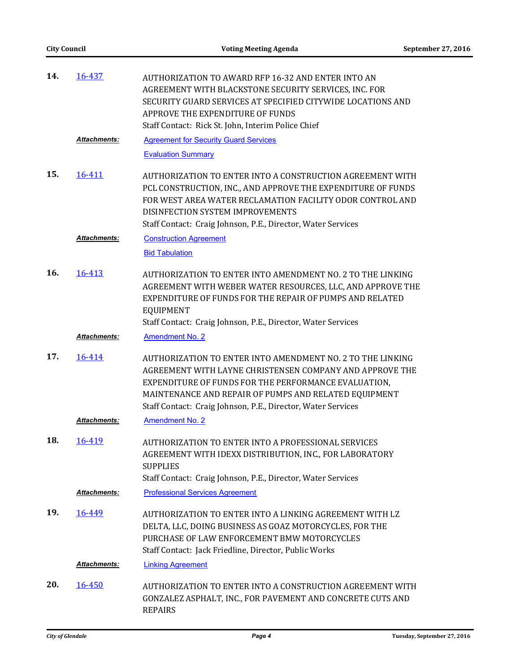| 14. | 16-437              | AUTHORIZATION TO AWARD RFP 16-32 AND ENTER INTO AN<br>AGREEMENT WITH BLACKSTONE SECURITY SERVICES, INC. FOR<br>SECURITY GUARD SERVICES AT SPECIFIED CITYWIDE LOCATIONS AND<br>APPROVE THE EXPENDITURE OF FUNDS                                                                                          |
|-----|---------------------|---------------------------------------------------------------------------------------------------------------------------------------------------------------------------------------------------------------------------------------------------------------------------------------------------------|
|     |                     | Staff Contact: Rick St. John, Interim Police Chief                                                                                                                                                                                                                                                      |
|     | <b>Attachments:</b> | <b>Agreement for Security Guard Services</b>                                                                                                                                                                                                                                                            |
|     |                     | <b>Evaluation Summary</b>                                                                                                                                                                                                                                                                               |
| 15. | 16-411              | AUTHORIZATION TO ENTER INTO A CONSTRUCTION AGREEMENT WITH<br>PCL CONSTRUCTION, INC., AND APPROVE THE EXPENDITURE OF FUNDS<br>FOR WEST AREA WATER RECLAMATION FACILITY ODOR CONTROL AND<br>DISINFECTION SYSTEM IMPROVEMENTS<br>Staff Contact: Craig Johnson, P.E., Director, Water Services              |
|     | Attachments:        | <b>Construction Agreement</b>                                                                                                                                                                                                                                                                           |
|     |                     | <b>Bid Tabulation</b>                                                                                                                                                                                                                                                                                   |
| 16. | 16-413              | AUTHORIZATION TO ENTER INTO AMENDMENT NO. 2 TO THE LINKING<br>AGREEMENT WITH WEBER WATER RESOURCES, LLC, AND APPROVE THE<br>EXPENDITURE OF FUNDS FOR THE REPAIR OF PUMPS AND RELATED<br><b>EQUIPMENT</b>                                                                                                |
|     |                     | Staff Contact: Craig Johnson, P.E., Director, Water Services                                                                                                                                                                                                                                            |
|     | Attachments:        | <b>Amendment No. 2</b>                                                                                                                                                                                                                                                                                  |
| 17. | 16-414              | AUTHORIZATION TO ENTER INTO AMENDMENT NO. 2 TO THE LINKING<br>AGREEMENT WITH LAYNE CHRISTENSEN COMPANY AND APPROVE THE<br>EXPENDITURE OF FUNDS FOR THE PERFORMANCE EVALUATION,<br>MAINTENANCE AND REPAIR OF PUMPS AND RELATED EQUIPMENT<br>Staff Contact: Craig Johnson, P.E., Director, Water Services |
|     | <b>Attachments:</b> | <b>Amendment No. 2</b>                                                                                                                                                                                                                                                                                  |
| 18. | 16-419              | AUTHORIZATION TO ENTER INTO A PROFESSIONAL SERVICES<br>AGREEMENT WITH IDEXX DISTRIBUTION, INC., FOR LABORATORY<br><b>SUPPLIES</b><br>Staff Contact: Craig Johnson, P.E., Director, Water Services                                                                                                       |
|     | Attachments:        | <b>Professional Services Agreement</b>                                                                                                                                                                                                                                                                  |
| 19. | 16-449              | AUTHORIZATION TO ENTER INTO A LINKING AGREEMENT WITH LZ<br>DELTA, LLC, DOING BUSINESS AS GOAZ MOTORCYCLES, FOR THE<br>PURCHASE OF LAW ENFORCEMENT BMW MOTORCYCLES<br>Staff Contact: Jack Friedline, Director, Public Works                                                                              |
|     | Attachments:        | <b>Linking Agreement</b>                                                                                                                                                                                                                                                                                |
| 20. | 16-450              | AUTHORIZATION TO ENTER INTO A CONSTRUCTION AGREEMENT WITH<br>GONZALEZ ASPHALT, INC., FOR PAVEMENT AND CONCRETE CUTS AND<br><b>REPAIRS</b>                                                                                                                                                               |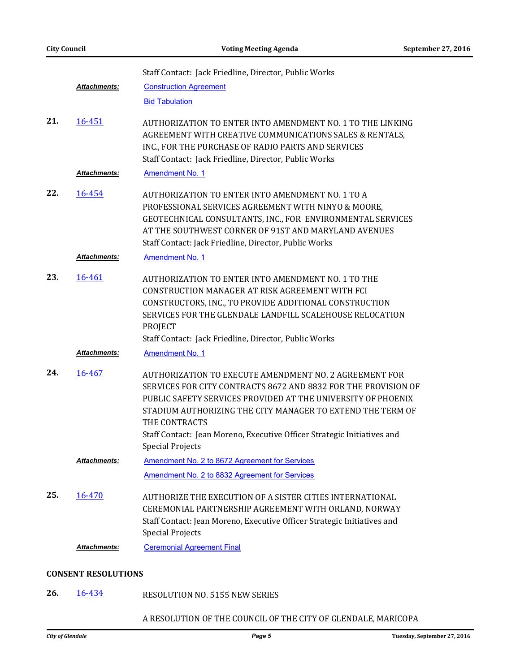|     | <b>Attachments:</b> | Staff Contact: Jack Friedline, Director, Public Works<br><b>Construction Agreement</b><br><b>Bid Tabulation</b>                                                                                                                                                                                 |
|-----|---------------------|-------------------------------------------------------------------------------------------------------------------------------------------------------------------------------------------------------------------------------------------------------------------------------------------------|
| 21. | 16-451              | AUTHORIZATION TO ENTER INTO AMENDMENT NO. 1 TO THE LINKING<br>AGREEMENT WITH CREATIVE COMMUNICATIONS SALES & RENTALS,<br>INC., FOR THE PURCHASE OF RADIO PARTS AND SERVICES<br>Staff Contact: Jack Friedline, Director, Public Works                                                            |
|     | <b>Attachments:</b> | Amendment No. 1                                                                                                                                                                                                                                                                                 |
| 22. | 16-454              | AUTHORIZATION TO ENTER INTO AMENDMENT NO. 1 TO A<br>PROFESSIONAL SERVICES AGREEMENT WITH NINYO & MOORE,<br>GEOTECHNICAL CONSULTANTS, INC., FOR ENVIRONMENTAL SERVICES<br>AT THE SOUTHWEST CORNER OF 91ST AND MARYLAND AVENUES<br>Staff Contact: Jack Friedline, Director, Public Works          |
|     | <b>Attachments:</b> | <b>Amendment No. 1</b>                                                                                                                                                                                                                                                                          |
| 23. | 16-461              | AUTHORIZATION TO ENTER INTO AMENDMENT NO. 1 TO THE<br>CONSTRUCTION MANAGER AT RISK AGREEMENT WITH FCI<br>CONSTRUCTORS, INC., TO PROVIDE ADDITIONAL CONSTRUCTION<br>SERVICES FOR THE GLENDALE LANDFILL SCALEHOUSE RELOCATION<br>PROJECT<br>Staff Contact: Jack Friedline, Director, Public Works |
|     | <b>Attachments:</b> | <b>Amendment No. 1</b>                                                                                                                                                                                                                                                                          |
| 24. | 16-467              | AUTHORIZATION TO EXECUTE AMENDMENT NO. 2 AGREEMENT FOR<br>SERVICES FOR CITY CONTRACTS 8672 AND 8832 FOR THE PROVISION OF<br>PUBLIC SAFETY SERVICES PROVIDED AT THE UNIVERSITY OF PHOENIX<br>STADIUM AUTHORIZING THE CITY MANAGER TO EXTEND THE TERM OF<br>THE CONTRACTS                         |
|     |                     | Staff Contact: Jean Moreno, Executive Officer Strategic Initiatives and<br><b>Special Projects</b>                                                                                                                                                                                              |
|     | <b>Attachments:</b> | Amendment No. 2 to 8672 Agreement for Services                                                                                                                                                                                                                                                  |
|     |                     | Amendment No. 2 to 8832 Agreement for Services                                                                                                                                                                                                                                                  |
| 25. | 16-470              | AUTHORIZE THE EXECUTION OF A SISTER CITIES INTERNATIONAL<br>CEREMONIAL PARTNERSHIP AGREEMENT WITH ORLAND, NORWAY<br>Staff Contact: Jean Moreno, Executive Officer Strategic Initiatives and<br><b>Special Projects</b>                                                                          |
|     | Attachments:        | <b>Ceremonial Agreement Final</b>                                                                                                                                                                                                                                                               |

### **CONSENT RESOLUTIONS**

RESOLUTION NO. 5155 NEW SERIES **26.** [16-434](http://glendale-az.legistar.com/gateway.aspx?m=l&id=/matter.aspx?key=3218)

## A RESOLUTION OF THE COUNCIL OF THE CITY OF GLENDALE, MARICOPA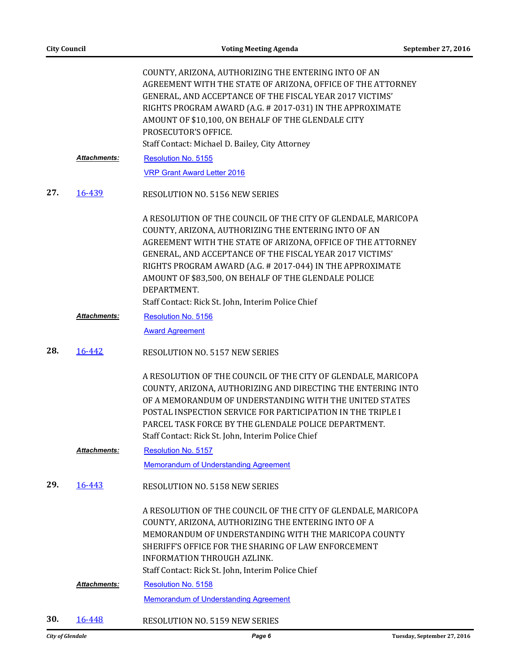|     |                     | COUNTY, ARIZONA, AUTHORIZING THE ENTERING INTO OF AN<br>AGREEMENT WITH THE STATE OF ARIZONA, OFFICE OF THE ATTORNEY<br>GENERAL, AND ACCEPTANCE OF THE FISCAL YEAR 2017 VICTIMS'<br>RIGHTS PROGRAM AWARD (A.G. # 2017-031) IN THE APPROXIMATE<br>AMOUNT OF \$10,100, ON BEHALF OF THE GLENDALE CITY<br>PROSECUTOR'S OFFICE.<br>Staff Contact: Michael D. Bailey, City Attorney                                                              |
|-----|---------------------|--------------------------------------------------------------------------------------------------------------------------------------------------------------------------------------------------------------------------------------------------------------------------------------------------------------------------------------------------------------------------------------------------------------------------------------------|
|     | <b>Attachments:</b> | <b>Resolution No. 5155</b>                                                                                                                                                                                                                                                                                                                                                                                                                 |
|     |                     | <b>VRP Grant Award Letter 2016</b>                                                                                                                                                                                                                                                                                                                                                                                                         |
| 27. | <u>16-439</u>       | <b>RESOLUTION NO. 5156 NEW SERIES</b>                                                                                                                                                                                                                                                                                                                                                                                                      |
|     |                     | A RESOLUTION OF THE COUNCIL OF THE CITY OF GLENDALE, MARICOPA<br>COUNTY, ARIZONA, AUTHORIZING THE ENTERING INTO OF AN<br>AGREEMENT WITH THE STATE OF ARIZONA, OFFICE OF THE ATTORNEY<br>GENERAL, AND ACCEPTANCE OF THE FISCAL YEAR 2017 VICTIMS'<br>RIGHTS PROGRAM AWARD (A.G. # 2017-044) IN THE APPROXIMATE<br>AMOUNT OF \$83,500, ON BEHALF OF THE GLENDALE POLICE<br>DEPARTMENT.<br>Staff Contact: Rick St. John, Interim Police Chief |
|     | Attachments:        | Resolution No. 5156                                                                                                                                                                                                                                                                                                                                                                                                                        |
|     |                     | <b>Award Agreement</b>                                                                                                                                                                                                                                                                                                                                                                                                                     |
| 28. | 16-442              | <b>RESOLUTION NO. 5157 NEW SERIES</b>                                                                                                                                                                                                                                                                                                                                                                                                      |
|     |                     | A RESOLUTION OF THE COUNCIL OF THE CITY OF GLENDALE, MARICOPA<br>COUNTY, ARIZONA, AUTHORIZING AND DIRECTING THE ENTERING INTO<br>OF A MEMORANDUM OF UNDERSTANDING WITH THE UNITED STATES<br>POSTAL INSPECTION SERVICE FOR PARTICIPATION IN THE TRIPLE I<br>PARCEL TASK FORCE BY THE GLENDALE POLICE DEPARTMENT.<br>Staff Contact: Rick St. John, Interim Police Chief                                                                      |
|     | <b>Attachments:</b> | Resolution No. 5157                                                                                                                                                                                                                                                                                                                                                                                                                        |
|     |                     | <b>Memorandum of Understanding Agreement</b>                                                                                                                                                                                                                                                                                                                                                                                               |
| 29. | 16-443              | <b>RESOLUTION NO. 5158 NEW SERIES</b>                                                                                                                                                                                                                                                                                                                                                                                                      |
|     |                     | A RESOLUTION OF THE COUNCIL OF THE CITY OF GLENDALE, MARICOPA<br>COUNTY, ARIZONA, AUTHORIZING THE ENTERING INTO OF A<br>MEMORANDUM OF UNDERSTANDING WITH THE MARICOPA COUNTY<br>SHERIFF'S OFFICE FOR THE SHARING OF LAW ENFORCEMENT<br><b>INFORMATION THROUGH AZLINK.</b><br>Staff Contact: Rick St. John, Interim Police Chief                                                                                                            |
|     | Attachments:        | Resolution No. 5158                                                                                                                                                                                                                                                                                                                                                                                                                        |
|     |                     | <b>Memorandum of Understanding Agreement</b>                                                                                                                                                                                                                                                                                                                                                                                               |
| 30. | 16-448              | RESOLUTION NO. 5159 NEW SERIES                                                                                                                                                                                                                                                                                                                                                                                                             |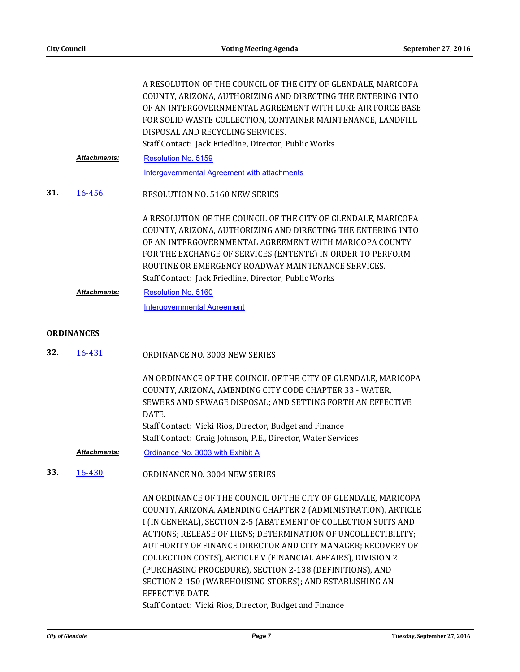|     |                     | A RESOLUTION OF THE COUNCIL OF THE CITY OF GLENDALE, MARICOPA<br>COUNTY, ARIZONA, AUTHORIZING AND DIRECTING THE ENTERING INTO<br>OF AN INTERGOVERNMENTAL AGREEMENT WITH LUKE AIR FORCE BASE<br>FOR SOLID WASTE COLLECTION, CONTAINER MAINTENANCE, LANDFILL<br>DISPOSAL AND RECYCLING SERVICES.<br>Staff Contact: Jack Friedline, Director, Public Works              |
|-----|---------------------|----------------------------------------------------------------------------------------------------------------------------------------------------------------------------------------------------------------------------------------------------------------------------------------------------------------------------------------------------------------------|
|     | <b>Attachments:</b> | Resolution No. 5159                                                                                                                                                                                                                                                                                                                                                  |
|     |                     | <b>Intergovernmental Agreement with attachments</b>                                                                                                                                                                                                                                                                                                                  |
| 31. | 16-456              | <b>RESOLUTION NO. 5160 NEW SERIES</b>                                                                                                                                                                                                                                                                                                                                |
|     |                     | A RESOLUTION OF THE COUNCIL OF THE CITY OF GLENDALE, MARICOPA<br>COUNTY, ARIZONA, AUTHORIZING AND DIRECTING THE ENTERING INTO<br>OF AN INTERGOVERNMENTAL AGREEMENT WITH MARICOPA COUNTY<br>FOR THE EXCHANGE OF SERVICES (ENTENTE) IN ORDER TO PERFORM<br>ROUTINE OR EMERGENCY ROADWAY MAINTENANCE SERVICES.<br>Staff Contact: Jack Friedline, Director, Public Works |
|     | <b>Attachments:</b> | Resolution No. 5160                                                                                                                                                                                                                                                                                                                                                  |
|     |                     | <b>Intergovernmental Agreement</b>                                                                                                                                                                                                                                                                                                                                   |
|     | <b>ORDINANCES</b>   |                                                                                                                                                                                                                                                                                                                                                                      |
| 32. | 16-431              | ORDINANCE NO. 3003 NEW SERIES                                                                                                                                                                                                                                                                                                                                        |
|     |                     | AN ORDINANCE OF THE COUNCIL OF THE CITY OF GLENDALE, MARICOPA<br>COUNTY, ARIZONA, AMENDING CITY CODE CHAPTER 33 - WATER,<br>SEWERS AND SEWAGE DISPOSAL; AND SETTING FORTH AN EFFECTIVE<br>DATE.                                                                                                                                                                      |
|     |                     | Staff Contact: Vicki Rios, Director, Budget and Finance                                                                                                                                                                                                                                                                                                              |
|     |                     | Staff Contact: Craig Johnson, P.E., Director, Water Services                                                                                                                                                                                                                                                                                                         |
|     | <b>Attachments:</b> | Ordinance No. 3003 with Exhibit A                                                                                                                                                                                                                                                                                                                                    |

ORDINANCE NO. 3004 NEW SERIES **33.** [16-430](http://glendale-az.legistar.com/gateway.aspx?m=l&id=/matter.aspx?key=3214)

> AN ORDINANCE OF THE COUNCIL OF THE CITY OF GLENDALE, MARICOPA COUNTY, ARIZONA, AMENDING CHAPTER 2 (ADMINISTRATION), ARTICLE I (IN GENERAL), SECTION 2-5 (ABATEMENT OF COLLECTION SUITS AND ACTIONS; RELEASE OF LIENS; DETERMINATION OF UNCOLLECTIBILITY; AUTHORITY OF FINANCE DIRECTOR AND CITY MANAGER; RECOVERY OF COLLECTION COSTS), ARTICLE V (FINANCIAL AFFAIRS), DIVISION 2 (PURCHASING PROCEDURE), SECTION 2-138 (DEFINITIONS), AND SECTION 2-150 (WAREHOUSING STORES); AND ESTABLISHING AN EFFECTIVE DATE. Staff Contact: Vicki Rios, Director, Budget and Finance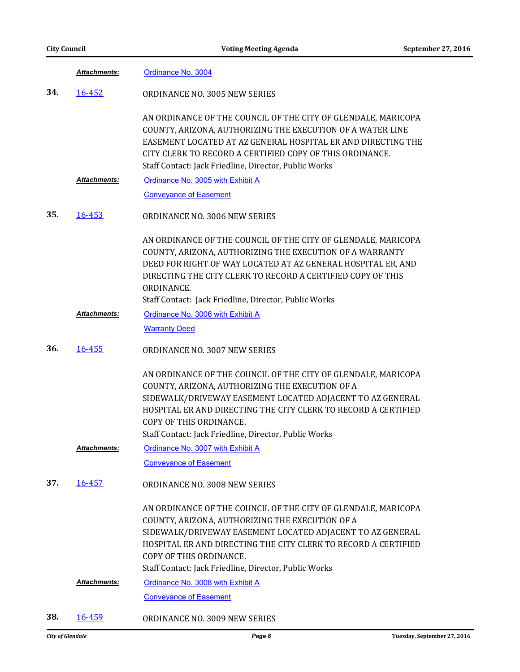| <b>City Council</b> |                     | <b>Voting Meeting Agenda</b>                                                                                                                                                                                                                                                                                                        | September 27, 2016 |
|---------------------|---------------------|-------------------------------------------------------------------------------------------------------------------------------------------------------------------------------------------------------------------------------------------------------------------------------------------------------------------------------------|--------------------|
|                     | Attachments:        | Ordinance No. 3004                                                                                                                                                                                                                                                                                                                  |                    |
| 34.                 | 16-452              | ORDINANCE NO. 3005 NEW SERIES                                                                                                                                                                                                                                                                                                       |                    |
|                     |                     | AN ORDINANCE OF THE COUNCIL OF THE CITY OF GLENDALE, MARICOPA<br>COUNTY, ARIZONA, AUTHORIZING THE EXECUTION OF A WATER LINE<br>EASEMENT LOCATED AT AZ GENERAL HOSPITAL ER AND DIRECTING THE<br>CITY CLERK TO RECORD A CERTIFIED COPY OF THIS ORDINANCE.<br>Staff Contact: Jack Friedline, Director, Public Works                    |                    |
|                     | <b>Attachments:</b> | Ordinance No. 3005 with Exhibit A                                                                                                                                                                                                                                                                                                   |                    |
|                     |                     | <b>Conveyance of Easement</b>                                                                                                                                                                                                                                                                                                       |                    |
| 35.                 | 16-453              | ORDINANCE NO. 3006 NEW SERIES                                                                                                                                                                                                                                                                                                       |                    |
|                     |                     | AN ORDINANCE OF THE COUNCIL OF THE CITY OF GLENDALE, MARICOPA<br>COUNTY, ARIZONA, AUTHORIZING THE EXECUTION OF A WARRANTY<br>DEED FOR RIGHT OF WAY LOCATED AT AZ GENERAL HOSPITAL ER, AND<br>DIRECTING THE CITY CLERK TO RECORD A CERTIFIED COPY OF THIS<br>ORDINANCE.<br>Staff Contact: Jack Friedline, Director, Public Works     |                    |
|                     | Attachments:        | Ordinance No. 3006 with Exhibit A                                                                                                                                                                                                                                                                                                   |                    |
|                     |                     | <b>Warranty Deed</b>                                                                                                                                                                                                                                                                                                                |                    |
| 36.                 | 16-455              | ORDINANCE NO. 3007 NEW SERIES                                                                                                                                                                                                                                                                                                       |                    |
|                     |                     | AN ORDINANCE OF THE COUNCIL OF THE CITY OF GLENDALE, MARICOPA<br>COUNTY, ARIZONA, AUTHORIZING THE EXECUTION OF A<br>SIDEWALK/DRIVEWAY EASEMENT LOCATED ADJACENT TO AZ GENERAL<br>HOSPITAL ER AND DIRECTING THE CITY CLERK TO RECORD A CERTIFIED<br>COPY OF THIS ORDINANCE.<br>Staff Contact: Jack Friedline, Director, Public Works |                    |
|                     | <b>Attachments:</b> | Ordinance No. 3007 with Exhibit A                                                                                                                                                                                                                                                                                                   |                    |
|                     |                     | <b>Conveyance of Easement</b>                                                                                                                                                                                                                                                                                                       |                    |
| 37.                 | 16-457              | ORDINANCE NO. 3008 NEW SERIES                                                                                                                                                                                                                                                                                                       |                    |
|                     |                     | AN ORDINANCE OF THE COUNCIL OF THE CITY OF GLENDALE, MARICOPA<br>COUNTY, ARIZONA, AUTHORIZING THE EXECUTION OF A<br>SIDEWALK/DRIVEWAY EASEMENT LOCATED ADJACENT TO AZ GENERAL<br>HOSPITAL ER AND DIRECTING THE CITY CLERK TO RECORD A CERTIFIED<br>COPY OF THIS ORDINANCE.<br>Staff Contact: Jack Friedline, Director, Public Works |                    |
|                     | Attachments:        | Ordinance No. 3008 with Exhibit A                                                                                                                                                                                                                                                                                                   |                    |
|                     |                     | <b>Conveyance of Easement</b>                                                                                                                                                                                                                                                                                                       |                    |
| 38.                 | 16-459              | ORDINANCE NO. 3009 NEW SERIES                                                                                                                                                                                                                                                                                                       |                    |